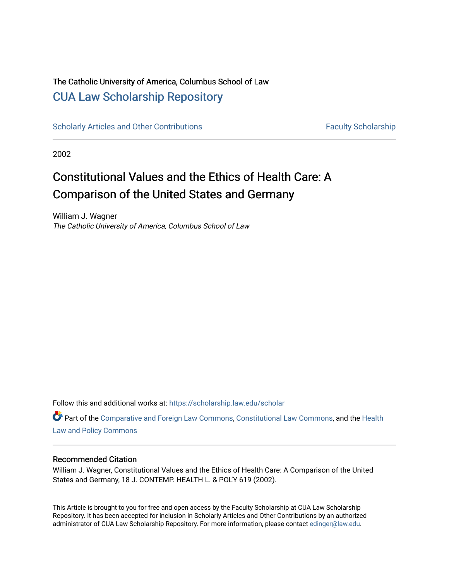# The Catholic University of America, Columbus School of Law [CUA Law Scholarship Repository](https://scholarship.law.edu/)

[Scholarly Articles and Other Contributions](https://scholarship.law.edu/scholar) Faculty Scholarship

2002

# Constitutional Values and the Ethics of Health Care: A Comparison of the United States and Germany

William J. Wagner The Catholic University of America, Columbus School of Law

Follow this and additional works at: [https://scholarship.law.edu/scholar](https://scholarship.law.edu/scholar?utm_source=scholarship.law.edu%2Fscholar%2F202&utm_medium=PDF&utm_campaign=PDFCoverPages)

Part of the [Comparative and Foreign Law Commons,](http://network.bepress.com/hgg/discipline/836?utm_source=scholarship.law.edu%2Fscholar%2F202&utm_medium=PDF&utm_campaign=PDFCoverPages) [Constitutional Law Commons,](http://network.bepress.com/hgg/discipline/589?utm_source=scholarship.law.edu%2Fscholar%2F202&utm_medium=PDF&utm_campaign=PDFCoverPages) and the [Health](http://network.bepress.com/hgg/discipline/901?utm_source=scholarship.law.edu%2Fscholar%2F202&utm_medium=PDF&utm_campaign=PDFCoverPages)  [Law and Policy Commons](http://network.bepress.com/hgg/discipline/901?utm_source=scholarship.law.edu%2Fscholar%2F202&utm_medium=PDF&utm_campaign=PDFCoverPages)

# Recommended Citation

William J. Wagner, Constitutional Values and the Ethics of Health Care: A Comparison of the United States and Germany, 18 J. CONTEMP. HEALTH L. & POL'Y 619 (2002).

This Article is brought to you for free and open access by the Faculty Scholarship at CUA Law Scholarship Repository. It has been accepted for inclusion in Scholarly Articles and Other Contributions by an authorized administrator of CUA Law Scholarship Repository. For more information, please contact [edinger@law.edu](mailto:edinger@law.edu).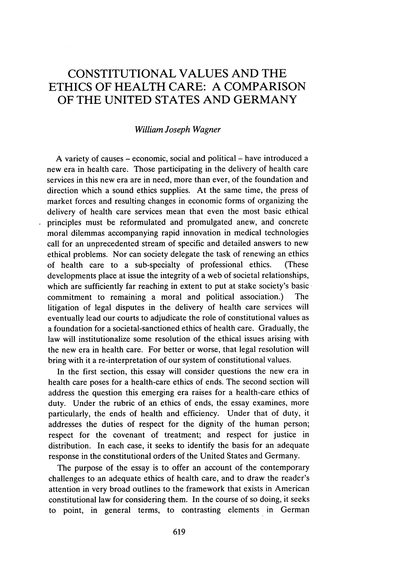# CONSTITUTIONAL VALUES AND THE **ETHICS** OF HEALTH CARE: **A** COMPARISON OF THE UNITED STATES AND GERMANY

# *William Joseph Wagner*

A variety of causes – economic, social and political – have introduced a new era in health care. Those participating in the delivery of health care services in this new era are in need, more than ever, of the foundation and direction which a sound ethics supplies. At the same time, the press of market forces and resulting changes in economic forms of organizing the delivery of health care services mean that even the most basic ethical principles must be reformulated and promulgated anew, and concrete moral dilemmas accompanying rapid innovation in medical technologies call for an unprecedented stream of specific and detailed answers to new ethical problems. Nor can society delegate the task of renewing an ethics of health care to a sub-specialty of professional ethics. (These developments place at issue the integrity of a web of societal relationships, which are sufficiently far reaching in extent to put at stake society's basic commitment to remaining a moral and political association.) The litigation of legal disputes in the delivery of health care services will eventually lead our courts to adjudicate the role of constitutional values as a foundation for a societal-sanctioned ethics of health care. Gradually, the law will institutionalize some resolution of the ethical issues arising with the new era in health care. For better or worse, that legal resolution will bring with it a re-interpretation of our system of constitutional values.

In the first section, this essay will consider questions the new era in health care poses for a health-care ethics of ends. The second section will address the question this emerging era raises for a health-care ethics of duty. Under the rubric of an ethics of ends, the essay examines, more particularly, the ends of health and efficiency. Under that of duty, it addresses the duties of respect for the dignity of the human person; respect for the covenant of treatment; and respect for justice in distribution. In each case, it seeks to identify the basis for an adequate response in the constitutional orders of the United States and Germany.

The purpose of the essay is to offer an account of the contemporary challenges to an adequate ethics of health care, and to draw the reader's attention in very broad outlines to the framework that exists in American constitutional law for considering them. In the course of so doing, it seeks to point, in general terms, to contrasting elements in German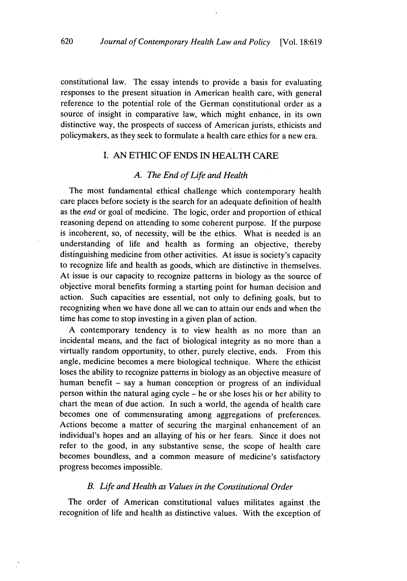constitutional law. The essay intends to provide a basis for evaluating responses to the present situation in American health care, with general reference to the potential role of the German constitutional order as a source of insight in comparative law, which might enhance, in its own distinctive way, the prospects of success of American jurists, ethicists and policymakers, as they seek to formulate a health care ethics for a new era.

# I. AN ETHIC OF ENDS IN **HEALTH** CARE

#### *A. The End of Life and Health*

The most fundamental ethical challenge which contemporary health care places before society is the search for an adequate definition of health as the *end* or goal of medicine. The logic, order and proportion of ethical reasoning depend on attending to some coherent purpose. If the purpose is incoherent, so, of necessity, will be the ethics. What is needed is an understanding of life and health as forming an objective, thereby distinguishing medicine from other activities. At issue is society's capacity to recognize life and health as goods, which are distinctive in themselves. At issue is our capacity to recognize patterns in biology as the source of objective moral benefits'forming a starting point for human decision and action. Such capacities are essential, not only to defining goals, but to recognizing when we have done all we can to attain our ends and when the time has come to stop investing in a given plan of action.

A contemporary tendency is to view health as no more than an incidental means, and the fact of biological integrity as no more than a virtually random opportunity, to other, purely elective, ends. From this angle, medicine becomes a mere biological technique. Where the ethicist loses the ability to recognize patterns in biology as an objective measure of human benefit – say a human conception or progress of an individual person within the natural aging cycle - he or she loses his or her ability to chart the mean of due action. In such a world, the agenda of health care becomes one of commensurating among aggregations of preferences. Actions become a matter of securing the marginal enhancement of an individual's hopes and an allaying of his or her fears. Since it does not refer to the good, in any substantive sense, the scope of health care becomes boundless, and a common measure of medicine's satisfactory progress becomes impossible.

#### *B. Life and Health as Values in the Constitutional Order*

The order of American constitutional values militates against .the recognition of life and health as distinctive values. With the exception of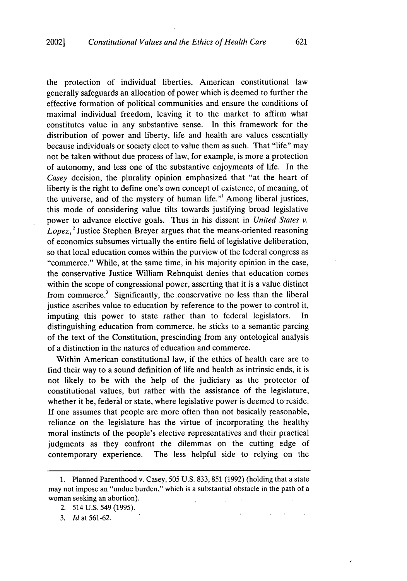the protection of individual liberties, American constitutional law generally safeguards an allocation of power which is deemed to further the effective formation of political communities and ensure the conditions of maximal individual freedom, leaving it to the market to affirm what constitutes value in any substantive sense. In this framework for the distribution of power and liberty, life and health are values essentially because individuals or society elect to value them as such. That "life" may not be taken without due process of law, for example, is more a protection of autonomy, and less one of the substantive enjoyments of life. In the *Casey* decision, the plurality opinion emphasized that "at the heart of liberty is the right to define one's own concept of existence, of meaning, of the universe, and of the mystery of human life."' Among liberal justices, this mode of considering value tilts towards justifying broad legislative power to advance elective goals. Thus in his dissent in *United States v. Lopez, <sup>2</sup>*Justice Stephen Breyer argues that the means-oriented reasoning of economics subsumes virtually the entire field of legislative deliberation, so that local education comes within the purview of the federal congress as "commerce." While, at the same time, in his majority opinion in the case, the conservative Justice William Rehnquist denies that education comes within the scope of congressional power, asserting that it is a value distinct from commerce.<sup>3</sup> Significantly, the conservative no less than the liberal justice ascribes value to education by reference to the power to control it, imputing this power to state rather than to federal legislators. In distinguishing education from commerce, he sticks to a semantic parcing of the text of the Constitution, prescinding from any ontological analysis of a distinction in the natures of education and commerce.

Within American constitutional law, if the ethics of health care are to find their way to a sound definition of life and health as intrinsic ends, it is not likely to be with the help of the judiciary as the protector of constitutional values, but rather with the assistance of the legislature, whether it be, federal or state, where legislative power is deemed toreside. If one assumes that people are more often than not basically reasonable, reliance on the legislature has the virtue of incorporating the healthy moral instincts of the people's elective representatives and their practical judgments as they confront the dilemmas on the cutting edge of contemporary experience. The less helpful side to relying on the

<sup>1.</sup> Planned Parenthood v. Casey, 505 U.S. 833, 851 (1992) (holding that a state may not impose an "undue burden," which is a substantial obstacle in the path of a woman seeking an abortion).  $\mathcal{L}$ 

<sup>2. 514</sup> U.S. 549 (1995).

*<sup>3.</sup> Id* at 561-62.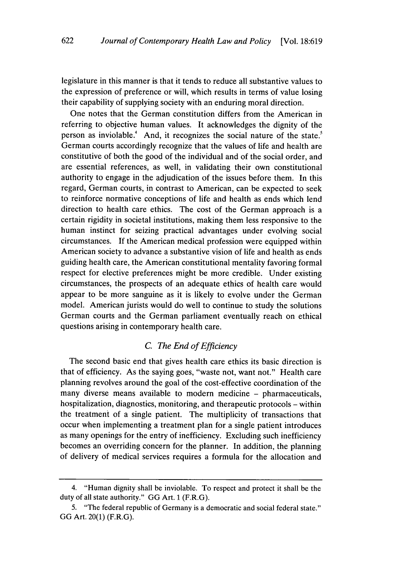622

legislature in this manner is that it tends to reduce all substantive values to the expression of preference or will, which results in terms of value losing their capability of supplying society with an enduring moral direction.

One notes that the German constitution differs from the American in referring to objective human values. It acknowledges the dignity of the person as inviolable.<sup>4</sup> And, it recognizes the social nature of the state.<sup>5</sup> German courts accordingly recognize that the values of life and health are constitutive of both the good of the individual and of the social order, and are essential references, as well, in validating their own constitutional authority to engage in the adjudication of the issues before them. In this regard, German courts, in contrast to American, can be expected to seek to reinforce normative conceptions of life and health as ends which lend direction to health care ethics. The cost of the German approach is a certain rigidity in societal institutions, making them less responsive to the human instinct for seizing practical advantages under evolving social circumstances. If the American medical profession were equipped within American society to advance a substantive vision of life and health as ends guiding health care, the American constitutional mentality favoring formal respect for elective preferences might be more credible. Under existing circumstances, the prospects of an adequate ethics of health care would appear to be more sanguine as it is likely to evolve under the German model. American jurists would do well to continue to study the solutions German courts and the German parliament eventually reach on ethical questions arising in contemporary health care.

# *C. The End of Efficiency*

The second basic end that gives health care ethics its basic direction is that of efficiency. As the saying goes, "waste not, want not." Health care planning revolves around the goal of the cost-effective coordination of the many diverse means available to modern medicine – pharmaceuticals, hospitalization, diagnostics, monitoring, and therapeutic protocols - within the treatment of a single patient. The multiplicity of transactions that occur when implementing a treatment plan for a single patient introduces as many openings for the entry of inefficiency. Excluding such inefficiency becomes an overriding concern for the planner. In addition, the planning of delivery of medical services requires a formula for the allocation and

<sup>4. &</sup>quot;Human dignity shall be inviolable. To respect and protect it shall be the duty of all state authority." GG Art. 1 (F.R.G).

<sup>5. &</sup>quot;The federal republic of Germany is a democratic and social federal state." GG Art. 20(1) (F.R.G).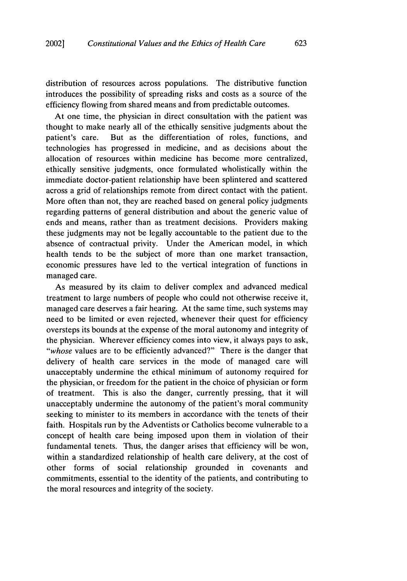distribution of resources across populations. The distributive function introduces the possibility of spreading risks and costs as a source of the efficiency flowing from shared means and from predictable outcomes.

At one time, the physician in direct consultation with the patient was thought to make nearly all of the ethically sensitive judgments about the patient's care. But as the differentiation of roles, functions, and technologies has progressed in medicine, and as decisions about the allocation of resources within medicine has become more centralized, ethically sensitive judgments, once formulated wholistically within the immediate doctor-patient relationship have been splintered and scattered across a grid of relationships remote from direct contact with the patient. More often than not, they are reached based on general policy judgments regarding patterns of general distribution and about the generic value of ends and means, rather than as treatment decisions. Providers making these judgments may not be legally accountable to the patient due to the absence of contractual privity. Under the American model, in which health tends to be the subject of more than one market transaction, economic pressures have led to the vertical integration of functions in managed care.

As measured by its claim to deliver complex and advanced medical treatment to large numbers of people who could not otherwise receive it, managed care deserves a fair hearing. At the same time, such systems may need to be limited or even rejected, whenever their quest for efficiency oversteps its bounds at the expense of the moral autonomy and integrity of the physician. Wherever efficiency comes into view, it always pays to ask, *"whose* values are to be efficiently advanced?" There is the danger that delivery of health care services in the mode of managed care will unacceptably undermine the ethical minimum of autonomy required for the physician, or freedom for the patient in the choice of physician or form of treatment. This is also the danger, currently pressing, that it will unacceptably undermine the autonomy of the patient's moral community seeking to minister to its members in accordance with the tenets of their faith. Hospitals run by the Adventists or Catholics become vulnerable to a concept of health care being imposed upon them in violation of their fundamental tenets. Thus, the danger arises that efficiency will be won, within a standardized relationship of health care delivery, at the cost of other forms of social relationship grounded in covenants and commitments, essential to the identity of the patients, and contributing to the moral resources and integrity of the society.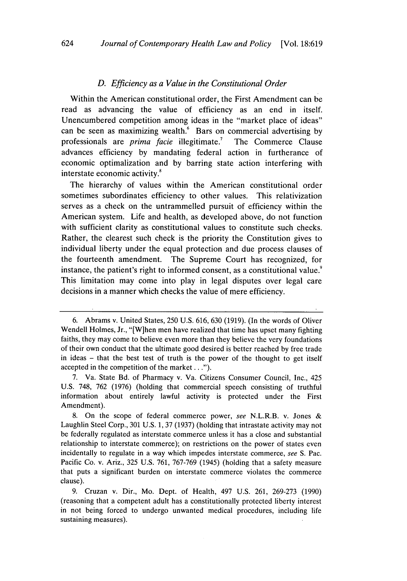#### *D. Efficiency as a Value in the Constitutional Order*

Within the American constitutional order, the First Amendment can be read as advancing the value of efficiency as an end in itself. Unencumbered competition among ideas in the "market place of ideas" can be seen as maximizing wealth. $6$  Bars on commercial advertising by professionals are *prima facie* illegitimate.<sup>7</sup> The Commerce Clause advances efficiency by mandating federal action in furtherance of economic optimalization and by barring state action interfering with interstate economic activity.<sup>8</sup>

The hierarchy of values within the American constitutional order sometimes subordinates efficiency to other values. This relativization serves as a check on the untrammelled pursuit of efficiency within the American system. Life and health, as developed above, do not function with sufficient clarity as constitutional values to constitute such checks. Rather, the clearest such check is the priority the Constitution gives to individual liberty under the equal protection and due process clauses of the fourteenth amendment. The Supreme Court has recognized, for instance, the patient's right to informed consent, as a constitutional value.<sup>9</sup> This limitation may come into play in legal disputes over legal care decisions in a manner which checks the value of mere efficiency.

<sup>6.</sup> Abrams v. United States, 250 U.S. 616, 630 (1919). (In the words of Oliver Wendell Holmes, Jr., "[Wjhen men have realized that time has upset many fighting faiths, they may come to believe even more than they believe the very foundations of their own conduct that the ultimate good desired is better reached by free trade in ideas - that the best test of truth is the power of the thought to get itself accepted in the competition of the market...").

<sup>7.</sup> Va. State Bd. of Pharmacy v. Va. Citizens Consumer Council, Inc., 425 U.S. 748, 762 (1976) (holding that commercial speech consisting of truthful information about entirely lawful activity is protected under the First Amendment).

<sup>8.</sup> On the scope of federal commerce power, *see* N.L.R.B. v. Jones & Laughlin Steel Corp., 301 U.S. 1, 37 (1937) (holding that intrastate activity may not be federally regulated as interstate commerce unless it has a close and substantial relationship to interstate commerce); on restrictions on the power of states even incidentally to regulate in a way which impedes interstate commerce, *see* S. Pac. Pacific Co. v. Ariz., 325 U.S. 761, 767-769 (1945) (holding that a safety measure that puts a significant burden on interstate commerce violates the commerce clause).

<sup>9.</sup> Cruzan v. Dir., Mo. Dept. of Health, 497 U.S. 261, 269-273 (1990) (reasoning that a competent adult has a constitutionally protected liberty interest in not being forced to undergo unwanted medical procedures, including life sustaining measures).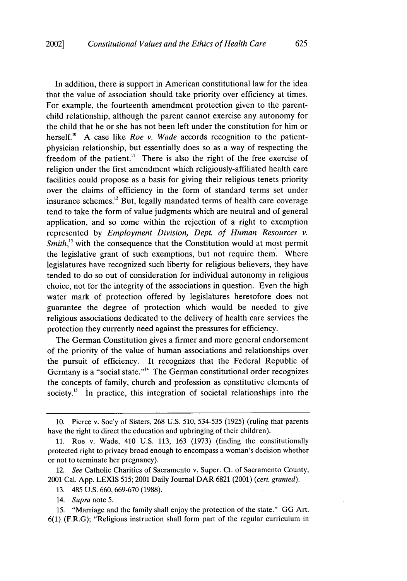In addition, there is support in American constitutional law for the idea that the value of association should take priority over efficiency at times. For example, the fourteenth amendment protection given to the parentchild relationship, although the parent cannot exercise any autonomy for the child that he or she has not been left under the constitution for him or herself.<sup>10</sup> A case like *Roe v. Wade* accords recognition to the patientphysician relationship, but essentially does so as a way of respecting the freedom of the patient.<sup>11</sup> There is also the right of the free exercise of religion under the first amendment which religiously-affiliated health care facilities could propose as a basis for giving their religious tenets priority over the claims of efficiency in the form of standard terms set under insurance schemes.<sup>12</sup> But, legally mandated terms of health care coverage tend to take the form of value judgments which are neutral and of general application, and so come within the rejection of a right to exemption represented by *Employment Division, Dept. of Human Resources v. Smith*,<sup>13</sup> with the consequence that the Constitution would at most permit the legislative grant of such exemptions, but not require them. Where legislatures have recognized such liberty for religious believers, they have tended to do so out of consideration for individual autonomy in religious choice, not for the integrity of the associations in question. Even the high water mark of protection offered by legislatures heretofore does not guarantee the degree of protection which would be needed to give religious associations dedicated to the delivery of health care services the protection they currently need against the pressures for efficiency.

The German Constitution gives a firmer and more general endorsement of the priority of the value of human associations and relationships over the pursuit of efficiency. It recognizes that the Federal Republic of Germany is a "social state."<sup>14</sup> The German constitutional order recognizes the concepts of family, church and profession as constitutive elements of society.<sup> $15$ </sup> In practice, this integration of societal relationships into the

<sup>10.</sup> Pierce v. Soc'y of Sisters, 268 U.S. 510, 534-535 (1925) (ruling that parents have the right to direct the education and upbringing of their children).

<sup>11.</sup> Roe v. Wade, 410 U.S. 113, 163 (1973) (finding the constitutionally protected right to privacy broad enough to encompass a woman's decision whether or not to terminate her pregnancy).

<sup>12.</sup> *See* Catholic Charities of Sacramento v. Super. Ct. of Sacramento County, 2001 Cal. App. LEXIS 515; 2001 Daily Journal DAR 6821 (2001) *(cert. granted).*

<sup>13. 485</sup> U.S. 660, 669-670 (1988).

<sup>14.</sup> *Supra* note 5.

<sup>15. &</sup>quot;Marriage and the family shall enjoy the protection of the state." GG Art. 6(1) (F.R.G); "Religious instruction shall form part of the regular curriculum in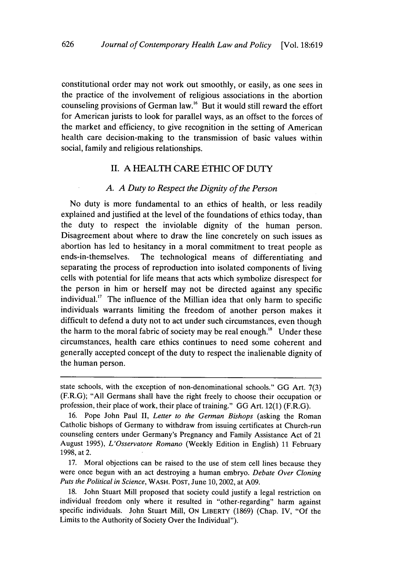626

constitutional order may not work out smoothly, or easily, as one sees in the practice of the involvement of religious associations in the abortion counseling provisions of German law.16 But it would still reward the effort for American jurists to look for parallel ways, as an offset to the forces of the market and efficiency, to give recognition in the setting of American health care decision-making to the transmission of basic values within social, family and religious relationships.

## II. A HEALTH CARE ETHIC OF **DUTY**

#### *A. A Duty to Respect the Dignity of the Person*

No duty is more fundamental to an ethics of health, or less readily explained and justified at the level of the foundations of ethics today, than the duty to respect the inviolable dignity of the human person. Disagreement about where to draw the line concretely on such issues as abortion has led to hesitancy in a moral commitment to treat people as ends-in-themselves. The technological means of differentiating and separating the process of reproduction into isolated components of living cells with potential for life means that acts which symbolize disrespect for the person in him or herself may not be directed against any specific individual.<sup>17</sup> The influence of the Millian idea that only harm to specific individuals warrants limiting the freedom of another person makes it difficult to defend a duty not to act under such circumstances, even though the harm to the moral fabric of society may be real enough. $^{18}$  Under these circumstances, health care ethics continues to need some coherent and generally accepted concept of the duty to respect the inalienable dignity of the human person.

17. Moral objections can be raised to the use of stem cell lines because they were once begun with an act destroying a human embryo. *Debate Over Cloning Puts the Political in Science,* WASH. **POST,** June 10, 2002, at A09.

18. John Stuart Mill proposed that society could justify a legal restriction on individual freedom only where it resulted in "other-regarding" harm against specific individuals. John Stuart Mill, ON LIBERTY (1869) (Chap. IV, "Of the Limits to the Authority of Society Over the Individual").

state schools, with the exception of non-denominational schools." GG Art. 7(3) (F.R.G); "All Germans shall have the right freely to choose their occupation or profession, their place of work, their place of training." GG Art. 12(1) (F.R.G).

<sup>16.</sup> Pope John Paul II, *Letter to the German Bishops* (asking the Roman Catholic bishops of Germany to withdraw from issuing certificates at Church-run counseling centers under Germany's Pregnancy and Family Assistance Act of 21 August 1995), *L'Osservatore Romano* (Weekly Edition in English) 11 February 1998, at 2.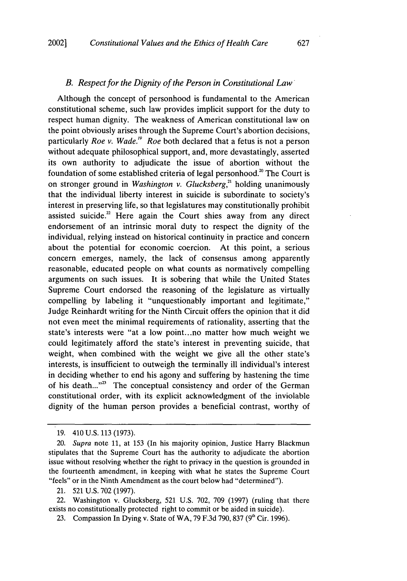#### *B. Respect for the Dignity of the Person in Constitutional Law*

Although the concept of personhood is fundamental to the American constitutional scheme, such law provides implicit support for the duty to respect human dignity. The weakness of American constitutional law on the point obviously arises through the Supreme Court's abortion decisions, particularly *Roe v. Wade.'9 Roe* both declared that a fetus is not a person without adequate philosophical support, and, more devastatingly, asserted its own authority to adjudicate the issue of abortion without the foundation of some established criteria of legal personhood.<sup>20</sup> The Court is on stronger ground in *Washington v. Glucksberg*,<sup>21</sup> holding unanimously that the individual liberty interest in suicide is subordinate to society's interest in preserving life, so that legislatures may constitutionally prohibit assisted suicide.<sup>22</sup> Here again the Court shies away from any direct endorsement of an intrinsic moral duty to respect the dignity of the individual, relying instead on historical continuity in practice and concern about the potential for economic coercion. At this point, a serious concern emerges, namely, the lack of consensus among apparently reasonable, educated people on what counts as normatively compelling arguments on such issues. It is sobering that while the United States Supreme Court endorsed the reasoning of the legislature as virtually compelling by labeling it "unquestionably important and legitimate," Judge Reinhardt writing for the Ninth Circuit offers the opinion that it did not even meet the minimal requirements of rationality, asserting that the state's interests were "at a low point.. .no matter how much weight we could legitimately afford the state's interest in preventing suicide, that weight, when combined with the weight we give all the other state's interests, is insufficient to outweigh the terminally ill individual's interest in deciding whether to end his agony and suffering by hastening the time of his death..."<sup>23</sup> The conceptual consistency and order of the German constitutional order, with its explicit acknowledgment of the inviolable dignity of the human person provides a beneficial contrast, worthy of

21. 521 U.S. 702 (1997).

22. Washington v. Glucksberg, 521 U.S. 702, 709 (1997) (ruling that there exists no constitutionally protected right to commit or be aided in suicide).

<sup>19. 410</sup> U.S. 113 (1973).

<sup>20.</sup> *Supra* note 11, at 153 (In his majority opinion, Justice Harry Blackmun stipulates that the Supreme Court has the authority to adjudicate the abortion issue without resolving whether the right to privacy in the question is grounded in the fourteenth amendment, in keeping with what he states the Supreme Court "feels" or in the Ninth Amendment as the court below had "determined").

<sup>23.</sup> Compassion In Dying v. State of WA, 79 F.3d 790, 837 **(9"** Cir. 1996).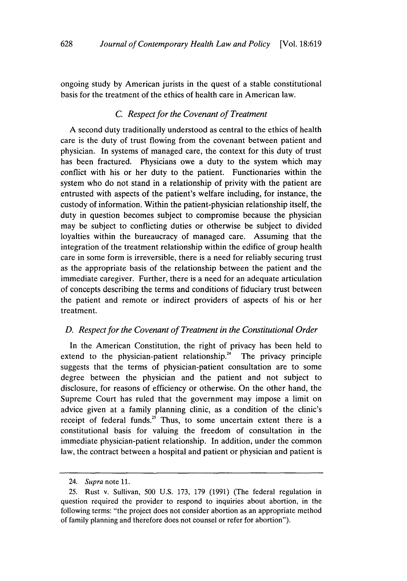ongoing study by American jurists in the quest of a stable constitutional basis for the treatment of the ethics of health care in American law.

# *C. Respect for the Covenant of Treatment*

A second duty traditionally understood as central to the ethics of health care is the duty of trust flowing from the covenant between patient and physician. In systems of managed care, the context for this duty of trust has been fractured. Physicians owe a duty to the system which may conflict with his or her duty to the patient. Functionaries within the system who do not stand in a relationship of privity with the patient are entrusted with aspects of the patient's welfare including, for instance, the custody of information. Within the patient-physician relationship itself, the duty in question becomes subject to compromise because the physician may be subject to conflicting duties or otherwise be subject to divided loyalties within the bureaucracy of managed care. Assuming that the integration of the treatment relationship within the edifice of group health care in some form is irreversible, there is a need for reliably securing trust as the appropriate basis of the relationship between the patient and the immediate caregiver. Further, there is a need for an adequate articulation of concepts describing the terms and conditions of fiduciary trust between the patient and remote or indirect providers of aspects of his or her treatment.

# *D. Respect for the Covenant of Treatment in the Constitutional Order*

In the American Constitution, the right of privacy has been held to extend to the physician-patient relationship." The privacy principle suggests that the terms of physician-patient consultation are to some degree between the physician and the patient and not subject to disclosure, for reasons of efficiency or otherwise. On the other hand, the Supreme Court has ruled that the government may impose a limit on advice given at a family planning clinic, as a condition of the clinic's receipt of federal funds.<sup>25</sup> Thus, to some uncertain extent there is a constitutional basis for valuing the freedom of consultation in the immediate physician-patient relationship. In addition, under the common law, the contract between a hospital and patient or physician and patient is

<sup>24.</sup> *Supra* note 11.

<sup>25.</sup> Rust v. Sullivan, 500 U.S. 173, 179 (1991) (The federal regulation in question required the provider to respond to inquiries about abortion, in the following terms: "the project does not consider abortion as an appropriate method of family planning and therefore does not counsel or refer for abortion").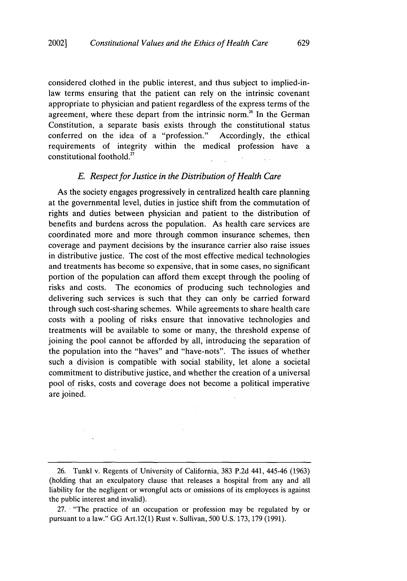considered clothed in the public interest, and thus subject to implied-inlaw terms ensuring that the patient can rely on the intrinsic covenant appropriate to physician and patient regardless of the express terms of the agreement, where these depart from the intrinsic norm.<sup>26</sup> In the German Constitution, a separate basis exists through the constitutional status conferred on the idea of a "profession." Accordingly, the ethical requirements of integrity within the medical profession have a constitutional foothold.27

#### *E. Respect for Justice in the Distribution of Health Care*

As the society engages progressively in centralized health care planning at the governmental level, duties in justice shift from the commutation of rights and duties between physician and patient to the distribution of benefits and burdens across the population. As health care services are coordinated more and more through common insurance schemes, then coverage and payment decisions **by** the insurance carrier also raise issues in distributive justice. The cost of the most effective medical technologies and treatments has become so expensive, that in some cases, no significant portion of the population can afford them except through the pooling of risks and costs. The economics of producing such technologies and delivering such services is such that they can only be carried forward through such cost-sharing schemes. While agreements to share health care costs with a pooling of risks ensure that innovative technologies and treatments will be available to some or many, the threshold expense of joining the pool cannot be afforded **by** all, introducing the separation of the population into the "haves" and "have-nots". The issues of whether such a division is compatible with social stability, let alone a societal commitment to distributive justice, and whether the creation of a universal pool **of** risks, costs and coverage does not become a political imperative are joined.

**<sup>26.</sup>** Tunkl v. Regents of University of California, **383 P.2d** 441, 445-46 **(1963)** (holding that an exculpatory clause that releases a hospital from any and all liability for the negligent or wrongful acts or omissions of its employees is against the public interest and invalid).

**<sup>27.</sup>** "The practice of an occupation or profession may be regulated **by** or pursuant to a law." **GG** Art.12(1) Rust v. Sullivan, **500 U.S. 173, 179 (1991).**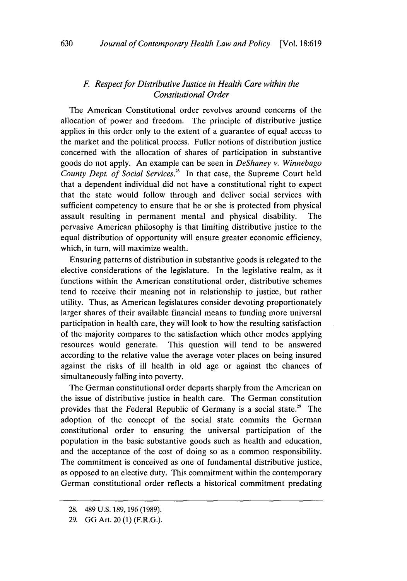# *F Respect for Distributive Justice in Health Care within the Constitutional Order*

The American Constitutional order revolves around concerns of the allocation of power and freedom. The principle of distributive justice applies in this order only to the extent of a guarantee of equal access to the market and the political process. Fuller notions of distribution justice concerned with the allocation of shares of participation in substantive goods do not apply. An example can be seen in *DeShaney v. Winnebago County Dept. of Social Services."8* In that case, the Supreme Court held that a dependent individual did not have a constitutional right to expect that the state would follow through and deliver social services with sufficient competency to ensure that he or she is protected from physical assault resulting in permanent mental and physical disability. The pervasive American philosophy is that limiting distributive justice to the equal distribution of opportunity will ensure greater economic efficiency, which, in turn, will maximize wealth.

Ensuring patterns of distribution in substantive goods is relegated to the elective considerations of the legislature. In the legislative realm, as it functions within the American constitutional order, distributive schemes tend to receive their meaning not in relationship to justice, but rather utility. Thus, as American legislatures consider devoting proportionately larger shares of their available financial means to funding more universal participation in health care, they will look to how the resulting satisfaction of the majority compares to the satisfaction which other modes applying resources would generate. This question will tend to be answered according to the relative value the average voter places on being insured against the risks of ill health in old age or against the chances of simultaneously falling into poverty,

The German constitutional order departs sharply from the American on the issue of distributive justice in health care. The German constitution provides that the Federal Republic of Germany is a social state.<sup>29</sup> The adoption of the concept of the social state commits the German constitutional order to ensuring the universal participation of the population in the basic substantive goods such as health and education, and the acceptance of the cost of doing so as a common responsibility. The commitment is conceived as one of fundamental distributive justice, as opposed to an elective duty. This commitment within the contemporary German constitutional order reflects a historical commitment predating

<sup>28. 489</sup> U.S. 189, 196 (1989).

<sup>29.</sup> GG Art. 20 (1) (F.R.G.).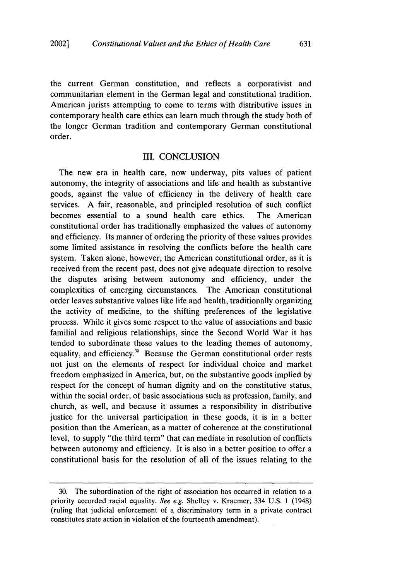the current German constitution, and reflects a corporativist and communitarian element in the German legal and constitutional tradition. American jurists attempting to come to terms with distributive issues in contemporary health care ethics can learn much through the study both of the longer German tradition and contemporary German constitutional order.

#### III. CONCLUSION

The new era in health care, now underway, pits values of patient autonomy, the integrity of associations and life and health as substantive goods, against the value of efficiency in the delivery of health care services. A fair, reasonable, and principled resolution of such conflict becomes essential to a sound health care ethics. The American constitutional order has traditionally emphasized the values of autonomy and efficiency. Its manner of ordering the priority of these values provides some limited assistance in resolving the conflicts before the health care system. Taken alone, however, the American constitutional order, as it is received from the recent past, does not give adequate direction to resolve the disputes arising between autonomy and efficiency, under the complexities of emerging circumstances. The American constitutional order leaves substantive values like life and health, traditionally organizing the activity of medicine, to the shifting preferences of the legislative process. While it gives some respect to the value of associations and basic familial and religious relationships, since the Second World War it has tended to subordinate these values to the leading themes of autonomy, equality, and efficiency.<sup>30</sup> Because the German constitutional order rests not just on the elements of respect for individual choice and market freedom emphasized in America, but, on the substantive goods implied by respect for the concept of human dignity and on the constitutive status, within the social order, of basic associations such as profession, family, and church, as well, and because it assumes a responsibility in distributive justice for the universal participation in these goods, it is in a better position than the American, as a matter of coherence at the constitutional level, to supply "the third term" that can mediate in resolution of conflicts between autonomy and efficiency. It is also in a better position to offer a constitutional basis for the resolution of all of the issues relating to the

<sup>30.</sup> The subordination of the right of association has occurred in relation to a priority accorded racial equality. *See e.g.* Shelley v. Kraemer, 334 U.S. 1 (1948) (ruling that judicial enforcement of a discriminatory term in a private contract constitutes state action in violation of the fourteenth amendment).